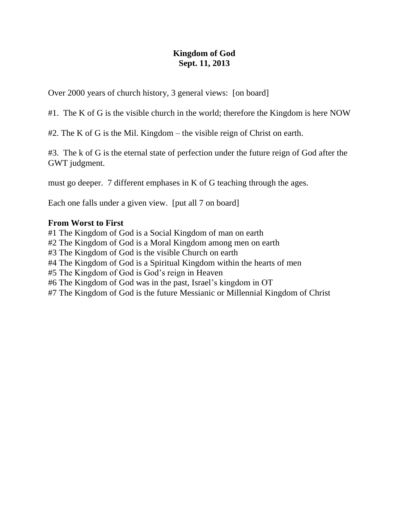### **Kingdom of God Sept. 11, 2013**

Over 2000 years of church history, 3 general views: [on board]

#1. The K of G is the visible church in the world; therefore the Kingdom is here NOW

#2. The K of G is the Mil. Kingdom – the visible reign of Christ on earth.

#3. The k of G is the eternal state of perfection under the future reign of God after the GWT judgment.

must go deeper. 7 different emphases in K of G teaching through the ages.

Each one falls under a given view. [put all 7 on board]

#### **From Worst to First**

#1 The Kingdom of God is a Social Kingdom of man on earth #2 The Kingdom of God is a Moral Kingdom among men on earth #3 The Kingdom of God is the visible Church on earth #4 The Kingdom of God is a Spiritual Kingdom within the hearts of men #5 The Kingdom of God is God's reign in Heaven #6 The Kingdom of God was in the past, Israel's kingdom in OT #7 The Kingdom of God is the future Messianic or Millennial Kingdom of Christ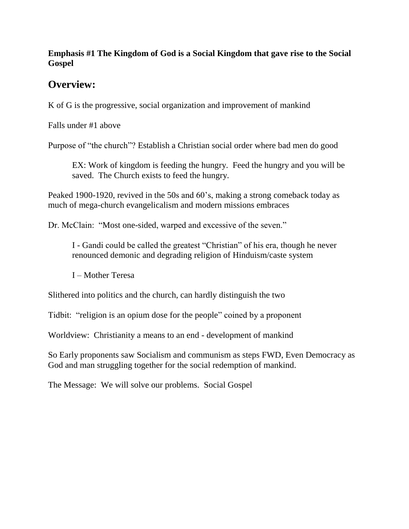#### **Emphasis #1 The Kingdom of God is a Social Kingdom that gave rise to the Social Gospel**

## **Overview:**

K of G is the progressive, social organization and improvement of mankind

Falls under #1 above

Purpose of "the church"? Establish a Christian social order where bad men do good

EX: Work of kingdom is feeding the hungry. Feed the hungry and you will be saved. The Church exists to feed the hungry.

Peaked 1900-1920, revived in the 50s and 60's, making a strong comeback today as much of mega-church evangelicalism and modern missions embraces

Dr. McClain: "Most one-sided, warped and excessive of the seven."

I - Gandi could be called the greatest "Christian" of his era, though he never renounced demonic and degrading religion of Hinduism/caste system

I – Mother Teresa

Slithered into politics and the church, can hardly distinguish the two

Tidbit: "religion is an opium dose for the people" coined by a proponent

Worldview: Christianity a means to an end - development of mankind

So Early proponents saw Socialism and communism as steps FWD, Even Democracy as God and man struggling together for the social redemption of mankind.

The Message: We will solve our problems. Social Gospel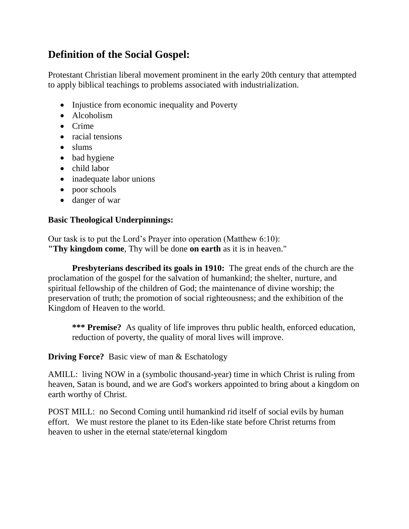# **Definition of the Social Gospel:**

[Protestant Christian](http://en.wikipedia.org/wiki/Protestantism) liberal movement prominent in the early 20th century that attempted to apply biblical teachings to problems associated with industrialization.

- Injustice from economic inequality and Poverty
- Alcoholism
- Crime
- racial tensions
- slums
- bad hygiene
- child labor
- inadequate labor unions
- poor schools
- danger of war

## **Basic Theological Underpinnings:**

Our task is to put the Lord's Prayer into operation (Matthew 6:10): **"Thy kingdom come**, Thy will be done **on earth** as it is in heaven."

**Presbyterians described its goals in 1910:** The great ends of the church are the proclamation of the gospel for the salvation of humankind; the shelter, nurture, and spiritual fellowship of the children of God; the maintenance of divine worship; the preservation of truth; the promotion of social righteousness; and the exhibition of the Kingdom of Heaven to the world.

**\*\*\* Premise?** As quality of life improves thru public health, enforced education, reduction of poverty, the quality of moral lives will improve.

**Driving Force?** Basic view of man & Eschatology

AMILL: living NOW in a (symbolic thousand-year) time in which Christ is ruling from heaven, Satan is bound, and we are God's workers appointed to bring about a kingdom on earth worthy of Christ.

POST MILL: no [Second Coming](http://en.wikipedia.org/wiki/Second_Coming) until humankind rid itself of [social evils](http://en.wikipedia.org/wiki/Social_evil) by human effort. We must restore the planet to its Eden-like state before Christ returns from heaven to usher in the eternal state/eternal kingdom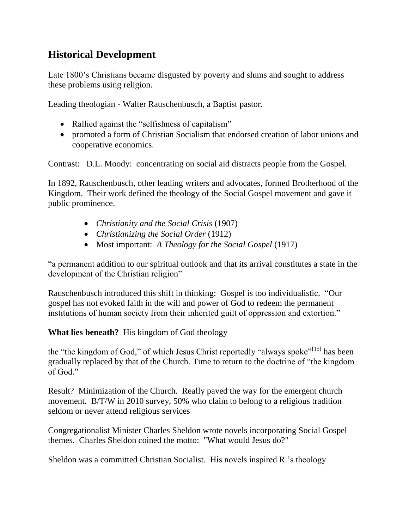## **Historical Development**

Late 1800's Christians became disgusted by poverty and slums and sought to address these problems using religion.

Leading theologian - [Walter Rauschenbusch,](http://en.wikipedia.org/wiki/Walter_Rauschenbusch) a Baptist pastor.

- Rallied against the "selfishness of capitalism"
- promoted a form of Christian Socialism that endorsed creation of labor unions and cooperative economics.

Contrast: D.L. Moody: concentrating on social aid distracts people from the Gospel.

In 1892, Rauschenbusch, other leading writers and advocates, formed [Brotherhood of the](http://en.wikipedia.org/wiki/Brotherhood_of_the_Kingdom)  [Kingdom.](http://en.wikipedia.org/wiki/Brotherhood_of_the_Kingdom) Their work defined the theology of the Social Gospel movement and gave it public prominence.

- *Christianity and the Social Crisis* (1907)
- *Christianizing the Social Order* (1912)
- Most important: *A Theology for the Social Gospel* (1917)

"a permanent addition to our spiritual outlook and that its arrival constitutes a state in the development of the Christian religion"

Rauschenbusch introduced this shift in thinking: Gospel is too individualistic. "Our gospel has not evoked faith in the will and power of God to redeem the permanent institutions of human society from their inherited guilt of oppression and extortion."

## **What lies beneath?** His kingdom of God theology

the "the kingdom of God," of which Jesus Christ reportedly "always spoke"<sup>[\[15\]](http://en.wikipedia.org/wiki/Social_Gospel#cite_note-15)</sup> has been gradually replaced by that of the Church. Time to return to the doctrine of "the kingdom of God."

Result? Minimization of the Church. Really paved the way for the emergent church movement. B/T/W in 2010 survey, 50% who claim to belong to a religious tradition seldom or never attend religious services

Congregationalist Minister Charles Sheldon wrote novels incorporating Social Gospel themes. Charles Sheldon coined the motto: ["What would Jesus do?"](http://en.wikipedia.org/wiki/What_would_Jesus_do%3F)

Sheldon was a committed [Christian Socialist.](http://en.wikipedia.org/wiki/Christian_Socialism) His novels inspired R.'s theology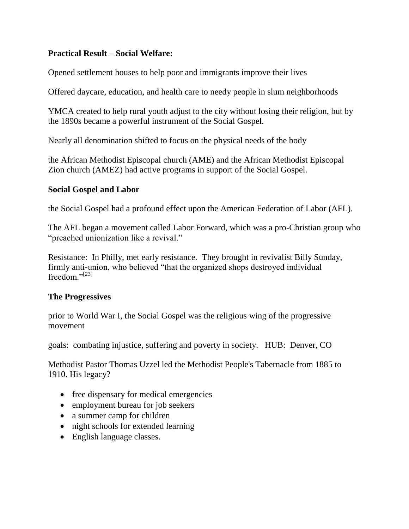#### **Practical Result – Social Welfare:**

Opened settlement houses to help poor and immigrants improve their lives

Offered daycare, education, and health care to needy people in slum neighborhoods

YMCA created to help rural youth adjust to the city without losing their religion, but by the 1890s became a powerful instrument of the Social Gospel.

Nearly all denomination shifted to focus on the physical needs of the body

the [African Methodist Episcopal](http://en.wikipedia.org/wiki/African_Methodist_Episcopal) church (AME) and the [African Methodist Episcopal](http://en.wikipedia.org/wiki/African_Methodist_Episcopal_Zion)  [Zion](http://en.wikipedia.org/wiki/African_Methodist_Episcopal_Zion) church (AMEZ) had active programs in support of the Social Gospel.

#### **Social Gospel and Labor**

the Social Gospel had a profound effect upon the [American Federation of Labor](http://en.wikipedia.org/wiki/American_Federation_of_Labor) (AFL).

The AFL began a movement called [Labor Forward,](http://en.wikipedia.org/wiki/Labor_Forward) which was a pro-Christian group who "preached unionization like a revival."

Resistance: In Philly, met early resistance. They brought in revivalist [Billy Sunday,](http://en.wikipedia.org/wiki/Billy_Sunday) firmly anti-union, who believed "that the organized shops destroyed individual freedom $^{$ ., $[23]}$  $[23]}$ 

## **The Progressives**

prior to [World War I,](http://en.wikipedia.org/wiki/World_War_I) the Social Gospel was the religious wing of the [progressive](http://en.wikipedia.org/wiki/Progressive_movement)  [movement](http://en.wikipedia.org/wiki/Progressive_movement)

goals: combating injustice, suffering and poverty in society. HUB: Denver, CO

Methodist Pastor Thomas Uzzel led the Methodist People's Tabernacle from 1885 to 1910. His legacy?

- free dispensary for medical emergencies
- employment bureau for job seekers
- a summer camp for children
- night schools for extended learning
- English language classes.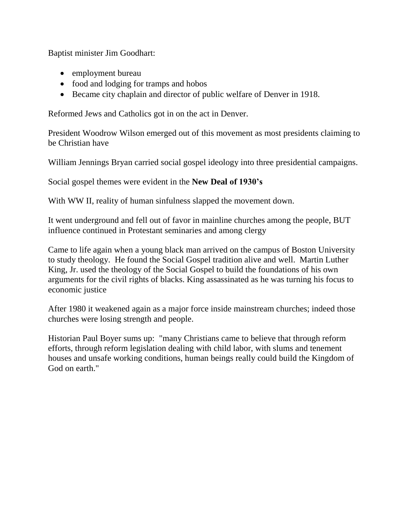Baptist minister Jim Goodhart:

- employment bureau
- food and lodging for tramps and hobos
- Became city chaplain and director of public welfare of Denver in 1918.

Reformed Jews and Catholics got in on the act in Denver.

President Woodrow Wilson emerged out of this movement as most presidents claiming to be Christian have

William Jennings Bryan carried social gospel ideology into three presidential campaigns.

Social gospel themes were evident in the **New Deal of 1930's**

With WW II, reality of human sinfulness slapped the movement down.

It went underground and fell out of favor in mainline churches among the people, BUT influence continued in Protestant seminaries and among clergy

Came to life again when a young black man arrived on the campus of Boston University to study theology. He found the Social Gospel tradition alive and well. Martin Luther King, Jr. used the theology of the Social Gospel to build the foundations of his own arguments for the civil rights of blacks. King assassinated as he was turning his focus to economic justice

After 1980 it weakened again as a major force inside mainstream churches; indeed those churches were losing strength and people.

Historian Paul Boyer sums up: "many Christians came to believe that through reform efforts, through reform legislation dealing with child labor, with slums and tenement houses and unsafe working conditions, human beings really could build the Kingdom of God on earth."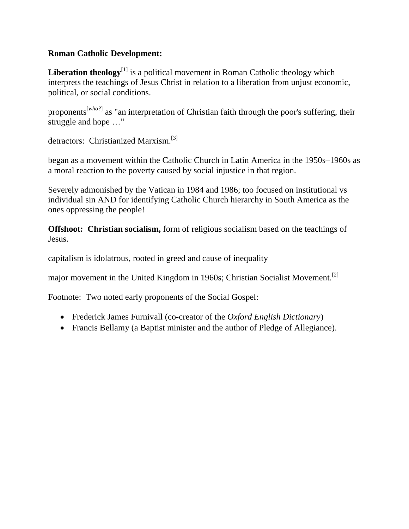#### **Roman Catholic Development:**

**Liberation theology**<sup>[\[1\]](http://en.wikipedia.org/wiki/Liberation_theology#cite_note-1)</sup> is a [political movement](http://en.wikipedia.org/wiki/Political_movement) in Roman [Catholic theology](http://en.wikipedia.org/wiki/Catholic_theology) which interprets the teachings of [Jesus Christ](http://en.wikipedia.org/wiki/Jesus_Christ) in relation to a liberation from unjust economic, political, or social conditions.

proponents[*[who?](http://en.wikipedia.org/wiki/Wikipedia:Avoid_weasel_words)*] as "an interpretation of Christian faith through the [poor's](http://en.wikipedia.org/wiki/Poverty) suffering, their struggle and hope …"

detractors: Christianized [Marxism.](http://en.wikipedia.org/wiki/Marxism)<sup>[\[3\]](http://en.wikipedia.org/wiki/Liberation_theology#cite_note-3)</sup>

began as a movement within the [Catholic Church](http://en.wikipedia.org/wiki/Catholic_Church) in Latin America in the 1950s–1960s as a moral reaction to the poverty caused by [social injustice](http://en.wikipedia.org/wiki/Social_injustice) in that region.

Severely admonished by the Vatican in 1984 and 1986; too focused on institutional vs individual sin AND for identifying Catholic Church hierarchy in South America as the ones oppressing the people!

**Offshoot: Christian socialism,** form of [religious socialism](http://en.wikipedia.org/wiki/Religious_socialism) based on the teachings of [Jesus.](http://en.wikipedia.org/wiki/Jesus)

[capitalism](http://en.wikipedia.org/wiki/Capitalism) is [idolatrous,](http://en.wikipedia.org/wiki/Idolatrous) rooted in [greed](http://en.wikipedia.org/wiki/Greed) and cause of inequality

major movement in the [United Kingdom](http://en.wikipedia.org/wiki/United_Kingdom) in 1960s; [Christian Socialist Movement.](http://en.wikipedia.org/wiki/Christian_Socialist_Movement_(UK))<sup>[\[2\]](http://en.wikipedia.org/wiki/Christian_socialism#cite_note-2)</sup>

Footnote: Two noted early proponents of the Social Gospel:

- [Frederick James Furnivall](http://en.wikipedia.org/wiki/Frederick_James_Furnivall) (co-creator of the *[Oxford English Dictionary](http://en.wikipedia.org/wiki/Oxford_English_Dictionary)*)
- [Francis Bellamy](http://en.wikipedia.org/wiki/Francis_Bellamy) (a Baptist minister and the author of [Pledge of Allegiance\)](http://en.wikipedia.org/wiki/Pledge_of_Allegiance).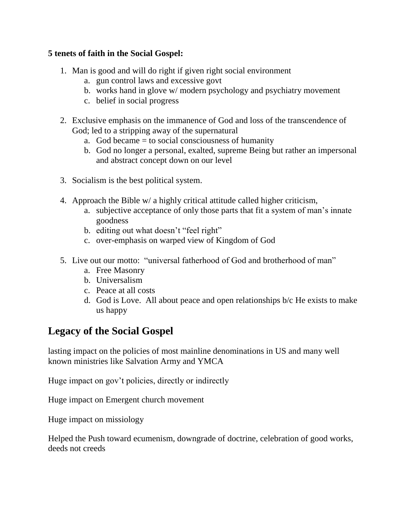#### **5 tenets of faith in the Social Gospel:**

- 1. Man is good and will do right if given right social environment
	- a. gun control laws and excessive govt
	- b. works hand in glove w/ modern psychology and psychiatry movement
	- c. belief in social progress
- 2. Exclusive emphasis on the immanence of God and loss of the transcendence of God; led to a stripping away of the supernatural
	- a. God became  $=$  to social consciousness of humanity
	- b. God no longer a personal, exalted, supreme Being but rather an impersonal and abstract concept down on our level
- 3. Socialism is the best political system.
- 4. Approach the Bible w/ a highly critical attitude called higher criticism,
	- a. subjective acceptance of only those parts that fit a system of man's innate goodness
	- b. editing out what doesn't "feel right"
	- c. over-emphasis on warped view of Kingdom of God
- 5. Live out our motto: "universal fatherhood of God and brotherhood of man"
	- a. Free Masonry
	- b. Universalism
	- c. Peace at all costs
	- d. God is Love. All about peace and open relationships b/c He exists to make us happy

## **Legacy of the Social Gospel**

lasting impact on the policies of most mainline denominations in US and many well known ministries like Salvation Army and YMCA

Huge impact on gov't policies, directly or indirectly

Huge impact on Emergent church movement

Huge impact on missiology

Helped the Push toward ecumenism, downgrade of doctrine, celebration of good works, deeds not creeds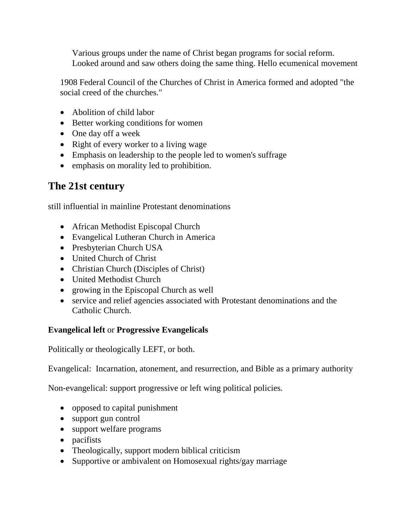Various groups under the name of Christ began programs for social reform. Looked around and saw others doing the same thing. Hello ecumenical movement

1908 Federal Council of the Churches of Christ in America formed and adopted "the social creed of the churches."

- Abolition of child labor
- Better working conditions for women
- One day off a week
- Right of every worker to a living wage
- Emphasis on leadership to the people led to [women's suffrage](http://en.wikipedia.org/wiki/Women%27s_suffrage_in_the_United_States)
- emphasis on morality led to [prohibition.](http://en.wikipedia.org/wiki/Prohibition_in_the_United_States)

## **The 21st century**

still influential in [mainline Protestant](http://en.wikipedia.org/wiki/Mainline_Protestant) denominations

- [African Methodist Episcopal Church](http://en.wikipedia.org/wiki/African_Methodist_Episcopal_Church)
- [Evangelical Lutheran Church in America](http://en.wikipedia.org/wiki/Evangelical_Lutheran_Church_in_America)
- [Presbyterian Church USA](http://en.wikipedia.org/wiki/Presbyterian_Church_USA)
- [United Church of Christ](http://en.wikipedia.org/wiki/United_Church_of_Christ)
- [Christian Church \(Disciples of Christ\)](http://en.wikipedia.org/wiki/Christian_Church_(Disciples_of_Christ))
- [United Methodist Church](http://en.wikipedia.org/wiki/United_Methodist_Church)
- growing in the [Episcopal Church](http://en.wikipedia.org/wiki/Episcopal_Church_(United_States)) as well
- service and relief agencies associated with Protestant denominations and the Catholic Church.

## **Evangelical left** or **Progressive Evangelicals**

Politically or theologically LEFT, or both.

Evangelical: [Incarnation,](http://en.wikipedia.org/wiki/Incarnation) [atonement,](http://en.wikipedia.org/wiki/Atonement_in_Christianity) and [resurrection,](http://en.wikipedia.org/wiki/Resurrection) and [Bible](http://en.wikipedia.org/wiki/Bible) as a primary [authority](http://en.wikipedia.org/wiki/Authority)

Non-evangelical: support progressive or left wing political policies.

- opposed to [capital punishment](http://en.wikipedia.org/wiki/Capital_punishment)
- support [gun control](http://en.wikipedia.org/wiki/Gun_control)
- support [welfare](http://en.wikipedia.org/wiki/Welfare) programs
- [pacifists](http://en.wikipedia.org/wiki/Pacifist)
- Theologically, support modern [biblical criticism](http://en.wikipedia.org/wiki/Biblical_criticism)
- Supportive or ambivalent on Homosexual rights/gay marriage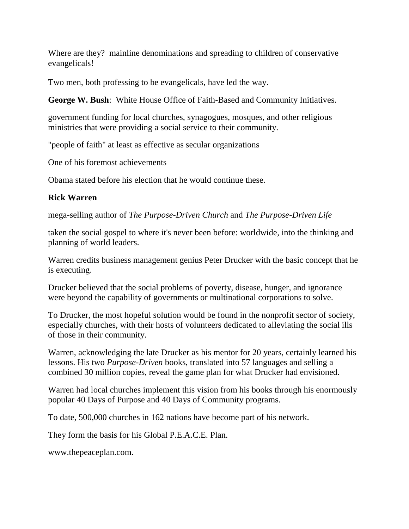Where are they? [mainline](http://en.wikipedia.org/wiki/Mainline_(Protestant)) denominations and spreading to children of conservative evangelicals!

Two men, both professing to be evangelicals, have led the way.

**George W. Bush**: White House Office of Faith-Based and Community Initiatives.

government funding for local churches, synagogues, mosques, and other religious ministries that were providing a social service to their community.

"people of faith" at least as effective as secular organizations

One of his foremost achievements

Obama stated before his election that he would continue these.

## **Rick Warren**

mega-selling author of *The Purpose-Driven Church* and *The Purpose-Driven Life*

taken the social gospel to where it's never been before: worldwide, into the thinking and planning of world leaders.

Warren credits business management genius Peter Drucker with the basic concept that he is executing.

Drucker believed that the social problems of poverty, disease, hunger, and ignorance were beyond the capability of governments or multinational corporations to solve.

To Drucker, the most hopeful solution would be found in the nonprofit sector of society, especially churches, with their hosts of volunteers dedicated to alleviating the social ills of those in their community.

Warren, acknowledging the late Drucker as his mentor for 20 years, certainly learned his lessons. His two *Purpose-Driven* books, translated into 57 languages and selling a combined 30 million copies, reveal the game plan for what Drucker had envisioned.

Warren had local churches implement this vision from his books through his enormously popular 40 Days of Purpose and 40 Days of Community programs.

To date, 500,000 churches in 162 nations have become part of his network.

They form the basis for his Global P.E.A.C.E. Plan.

[www.thepeaceplan.com.](http://www.thepeaceplan.com/)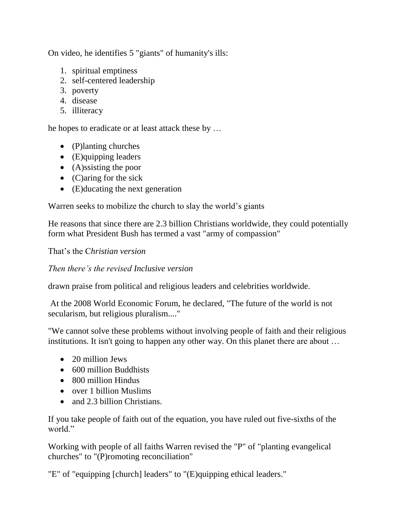On video, he identifies 5 "giants" of humanity's ills:

- 1. spiritual emptiness
- 2. self-centered leadership
- 3. poverty
- 4. disease
- 5. illiteracy

he hopes to eradicate or at least attack these by …

- (P)lanting churches
- (E)quipping leaders
- (A)ssisting the poor
- $\bullet$  (C)aring for the sick
- (E)ducating the next generation

Warren seeks to mobilize the church to slay the world's giants

He reasons that since there are 2.3 billion Christians worldwide, they could potentially form what President Bush has termed a vast "army of compassion"

That's the C*hristian version*

*Then there's the revised Inclusive version*

drawn praise from political and religious leaders and celebrities worldwide.

At the 2008 World Economic Forum, he declared, "The future of the world is not secularism, but religious pluralism...."

"We cannot solve these problems without involving people of faith and their religious institutions. It isn't going to happen any other way. On this planet there are about …

- 20 million Jews
- 600 million Buddhists
- 800 million Hindus
- over 1 billion Muslims
- and 2.3 billion Christians.

If you take people of faith out of the equation, you have ruled out five-sixths of the world."

Working with people of all faiths Warren revised the "P" of "planting evangelical churches" to "(P)romoting reconciliation"

"E" of "equipping [church] leaders" to "(E)quipping ethical leaders."